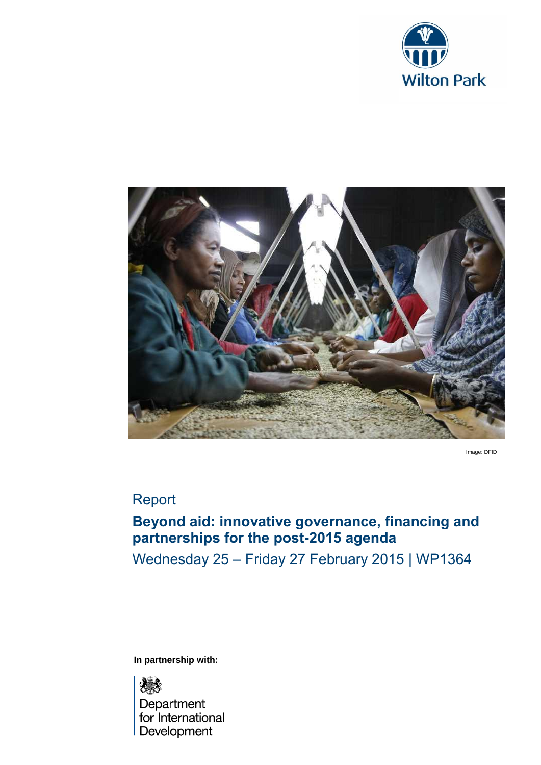



Image: DFID

# Report

# **Beyond aid: innovative governance, financing and partnerships for the post-2015 agenda**

Wednesday 25 – Friday 27 February 2015 | WP1364

**In partnership with:**

# 爆

Department for International **Development**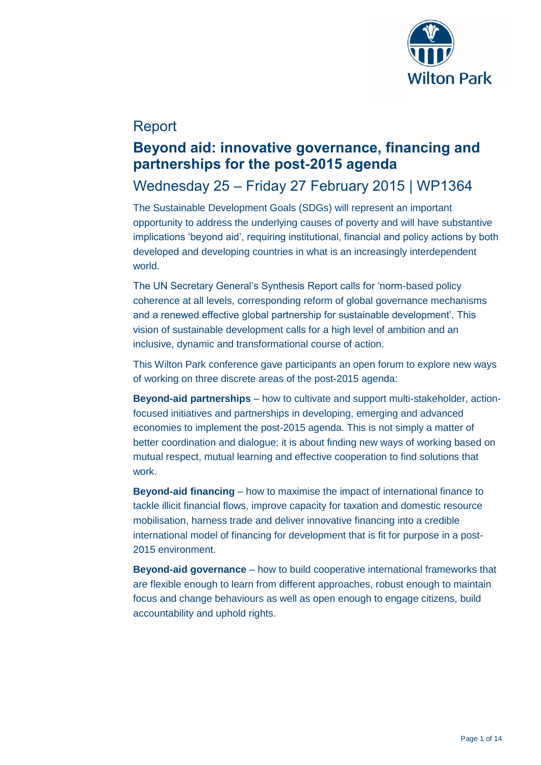

# Report

## **Beyond aid: innovative governance, financing and partnerships for the post-2015 agenda**

# Wednesday 25 – Friday 27 February 2015 | WP1364

The Sustainable Development Goals (SDGs) will represent an important opportunity to address the underlying causes of poverty and will have substantive implications 'beyond aid', requiring institutional, financial and policy actions by both developed and developing countries in what is an increasingly interdependent world.

The UN Secretary General's Synthesis Report calls for 'norm-based policy coherence at all levels, corresponding reform of global governance mechanisms and a renewed effective global partnership for sustainable development'. This vision of sustainable development calls for a high level of ambition and an inclusive, dynamic and transformational course of action.

This Wilton Park conference gave participants an open forum to explore new ways of working on three discrete areas of the post-2015 agenda:

**Beyond-aid partnerships** – how to cultivate and support multi-stakeholder, actionfocused initiatives and partnerships in developing, emerging and advanced economies to implement the post-2015 agenda. This is not simply a matter of better coordination and dialogue; it is about finding new ways of working based on mutual respect, mutual learning and effective cooperation to find solutions that work.

**Beyond-aid financing** – how to maximise the impact of international finance to tackle illicit financial flows, improve capacity for taxation and domestic resource mobilisation, harness trade and deliver innovative financing into a credible international model of financing for development that is fit for purpose in a post-2015 environment.

**Beyond-aid governance** – how to build cooperative international frameworks that are flexible enough to learn from different approaches, robust enough to maintain focus and change behaviours as well as open enough to engage citizens, build accountability and uphold rights.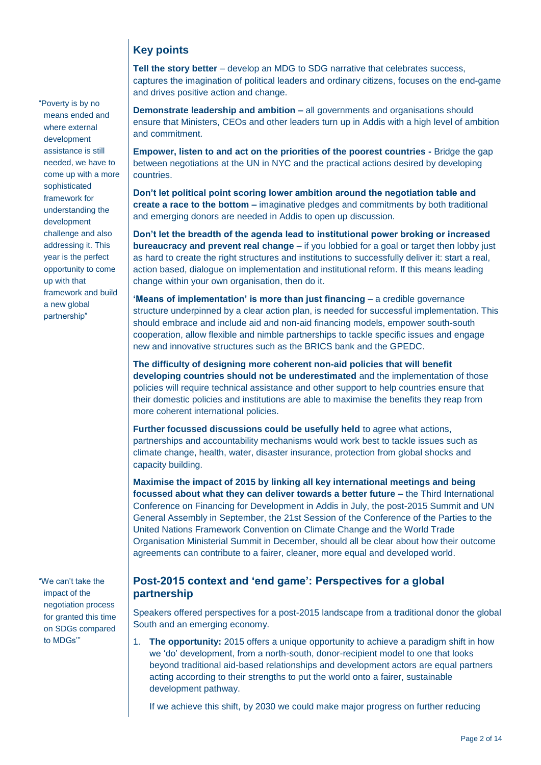### **Key points**

"Poverty is by no means ended and where external development assistance is still needed, we have to come up with a more

sophisticated framework for understanding the development challenge and also addressing it. This year is the perfect opportunity to come

up with that

framework and build a new global partnership"

**Tell the story better** – develop an MDG to SDG narrative that celebrates success, captures the imagination of political leaders and ordinary citizens, focuses on the end-game and drives positive action and change.

**Demonstrate leadership and ambition –** all governments and organisations should ensure that Ministers, CEOs and other leaders turn up in Addis with a high level of ambition and commitment.

**Empower, listen to and act on the priorities of the poorest countries -** Bridge the gap between negotiations at the UN in NYC and the practical actions desired by developing countries.

**Don't let political point scoring lower ambition around the negotiation table and create a race to the bottom –** imaginative pledges and commitments by both traditional and emerging donors are needed in Addis to open up discussion.

**Don't let the breadth of the agenda lead to institutional power broking or increased bureaucracy and prevent real change** – if you lobbied for a goal or target then lobby just as hard to create the right structures and institutions to successfully deliver it: start a real, action based, dialogue on implementation and institutional reform. If this means leading change within your own organisation, then do it.

**'Means of implementation' is more than just financing - a credible governance** structure underpinned by a clear action plan, is needed for successful implementation. This should embrace and include aid and non-aid financing models, empower south-south cooperation, allow flexible and nimble partnerships to tackle specific issues and engage new and innovative structures such as the BRICS bank and the GPEDC.

**The difficulty of designing more coherent non-aid policies that will benefit developing countries should not be underestimated** and the implementation of those policies will require technical assistance and other support to help countries ensure that their domestic policies and institutions are able to maximise the benefits they reap from more coherent international policies.

**Further focussed discussions could be usefully held** to agree what actions, partnerships and accountability mechanisms would work best to tackle issues such as climate change, health, water, disaster insurance, protection from global shocks and capacity building.

**Maximise the impact of 2015 by linking all key international meetings and being focussed about what they can deliver towards a better future –** the Third International Conference on Financing for Development in Addis in July, the post-2015 Summit and UN General Assembly in September, the 21st Session of the Conference of the Parties to the United Nations Framework Convention on Climate Change and the World Trade Organisation Ministerial Summit in December, should all be clear about how their outcome agreements can contribute to a fairer, cleaner, more equal and developed world.

"We can't take the impact of the negotiation process for granted this time on SDGs compared to MDGs'"

### **Post-2015 context and 'end game': Perspectives for a global partnership**

Speakers offered perspectives for a post-2015 landscape from a traditional donor the global South and an emerging economy.

1. **The opportunity:** 2015 offers a unique opportunity to achieve a paradigm shift in how we 'do' development, from a north-south, donor-recipient model to one that looks beyond traditional aid-based relationships and development actors are equal partners acting according to their strengths to put the world onto a fairer, sustainable development pathway.

If we achieve this shift, by 2030 we could make major progress on further reducing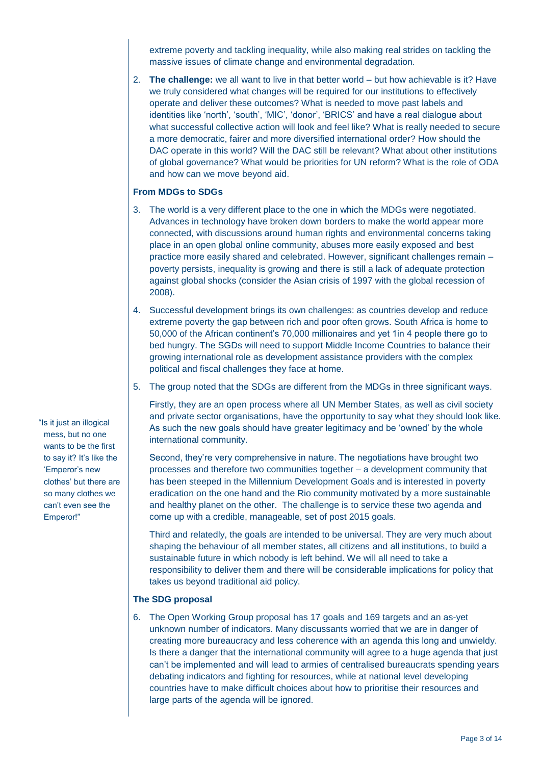extreme poverty and tackling inequality, while also making real strides on tackling the massive issues of climate change and environmental degradation.

2. **The challenge:** we all want to live in that better world – but how achievable is it? Have we truly considered what changes will be required for our institutions to effectively operate and deliver these outcomes? What is needed to move past labels and identities like 'north', 'south', 'MIC', 'donor', 'BRICS' and have a real dialogue about what successful collective action will look and feel like? What is really needed to secure a more democratic, fairer and more diversified international order? How should the DAC operate in this world? Will the DAC still be relevant? What about other institutions of global governance? What would be priorities for UN reform? What is the role of ODA and how can we move beyond aid.

#### **From MDGs to SDGs**

- 3. The world is a very different place to the one in which the MDGs were negotiated. Advances in technology have broken down borders to make the world appear more connected, with discussions around human rights and environmental concerns taking place in an open global online community, abuses more easily exposed and best practice more easily shared and celebrated. However, significant challenges remain – poverty persists, inequality is growing and there is still a lack of adequate protection against global shocks (consider the Asian crisis of 1997 with the global recession of 2008).
- 4. Successful development brings its own challenges: as countries develop and reduce extreme poverty the gap between rich and poor often grows. South Africa is home to 50,000 of the African continent's 70,000 millionaires and yet 1in 4 people there go to bed hungry. The SGDs will need to support Middle Income Countries to balance their growing international role as development assistance providers with the complex political and fiscal challenges they face at home.
- 5. The group noted that the SDGs are different from the MDGs in three significant ways.

Firstly, they are an open process where all UN Member States, as well as civil society and private sector organisations, have the opportunity to say what they should look like. As such the new goals should have greater legitimacy and be 'owned' by the whole international community.

Second, they're very comprehensive in nature. The negotiations have brought two processes and therefore two communities together – a development community that has been steeped in the Millennium Development Goals and is interested in poverty eradication on the one hand and the Rio community motivated by a more sustainable and healthy planet on the other. The challenge is to service these two agenda and come up with a credible, manageable, set of post 2015 goals.

Third and relatedly, the goals are intended to be universal. They are very much about shaping the behaviour of all member states, all citizens and all institutions, to build a sustainable future in which nobody is left behind. We will all need to take a responsibility to deliver them and there will be considerable implications for policy that takes us beyond traditional aid policy.

### **The SDG proposal**

6. The Open Working Group proposal has 17 goals and 169 targets and an as-yet unknown number of indicators. Many discussants worried that we are in danger of creating more bureaucracy and less coherence with an agenda this long and unwieldy. Is there a danger that the international community will agree to a huge agenda that just can't be implemented and will lead to armies of centralised bureaucrats spending years debating indicators and fighting for resources, while at national level developing countries have to make difficult choices about how to prioritise their resources and large parts of the agenda will be ignored.

"Is it just an illogical mess, but no one wants to be the first to say it? It's like the 'Emperor's new clothes' but there are so many clothes we can't even see the Emperor!"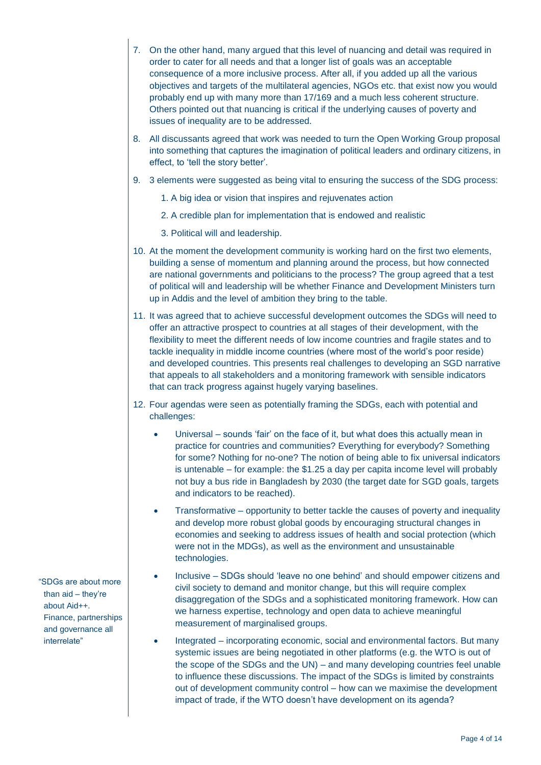- 7. On the other hand, many argued that this level of nuancing and detail was required in order to cater for all needs and that a longer list of goals was an acceptable consequence of a more inclusive process. After all, if you added up all the various objectives and targets of the multilateral agencies, NGOs etc. that exist now you would probably end up with many more than 17/169 and a much less coherent structure. Others pointed out that nuancing is critical if the underlying causes of poverty and issues of inequality are to be addressed.
- 8. All discussants agreed that work was needed to turn the Open Working Group proposal into something that captures the imagination of political leaders and ordinary citizens, in effect, to 'tell the story better'.
- 9. 3 elements were suggested as being vital to ensuring the success of the SDG process:
	- 1. A big idea or vision that inspires and rejuvenates action
	- 2. A credible plan for implementation that is endowed and realistic
	- 3. Political will and leadership.
- 10. At the moment the development community is working hard on the first two elements, building a sense of momentum and planning around the process, but how connected are national governments and politicians to the process? The group agreed that a test of political will and leadership will be whether Finance and Development Ministers turn up in Addis and the level of ambition they bring to the table.
- 11. It was agreed that to achieve successful development outcomes the SDGs will need to offer an attractive prospect to countries at all stages of their development, with the flexibility to meet the different needs of low income countries and fragile states and to tackle inequality in middle income countries (where most of the world's poor reside) and developed countries. This presents real challenges to developing an SGD narrative that appeals to all stakeholders and a monitoring framework with sensible indicators that can track progress against hugely varying baselines.
- 12. Four agendas were seen as potentially framing the SDGs, each with potential and challenges:
	- Universal sounds 'fair' on the face of it, but what does this actually mean in practice for countries and communities? Everything for everybody? Something for some? Nothing for no-one? The notion of being able to fix universal indicators is untenable – for example: the \$1.25 a day per capita income level will probably not buy a bus ride in Bangladesh by 2030 (the target date for SGD goals, targets and indicators to be reached).
	- Transformative opportunity to better tackle the causes of poverty and inequality and develop more robust global goods by encouraging structural changes in economies and seeking to address issues of health and social protection (which were not in the MDGs), as well as the environment and unsustainable technologies.
	- Inclusive SDGs should 'leave no one behind' and should empower citizens and civil society to demand and monitor change, but this will require complex disaggregation of the SDGs and a sophisticated monitoring framework. How can we harness expertise, technology and open data to achieve meaningful measurement of marginalised groups.
	- Integrated incorporating economic, social and environmental factors. But many systemic issues are being negotiated in other platforms (e.g. the WTO is out of the scope of the SDGs and the UN) – and many developing countries feel unable to influence these discussions. The impact of the SDGs is limited by constraints out of development community control – how can we maximise the development impact of trade, if the WTO doesn't have development on its agenda?

"SDGs are about more than aid – they're about Aid++. Finance, partnerships and governance all interrelate"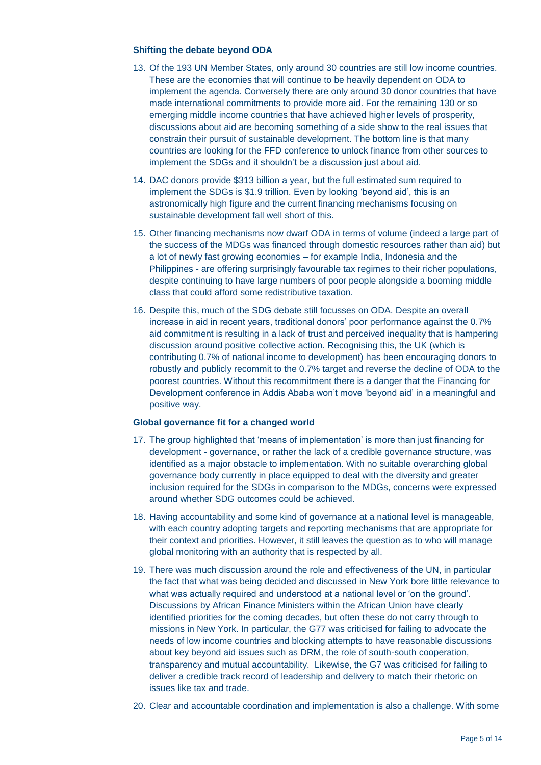#### **Shifting the debate beyond ODA**

- 13. Of the 193 UN Member States, only around 30 countries are still low income countries. These are the economies that will continue to be heavily dependent on ODA to implement the agenda. Conversely there are only around 30 donor countries that have made international commitments to provide more aid. For the remaining 130 or so emerging middle income countries that have achieved higher levels of prosperity, discussions about aid are becoming something of a side show to the real issues that constrain their pursuit of sustainable development. The bottom line is that many countries are looking for the FFD conference to unlock finance from other sources to implement the SDGs and it shouldn't be a discussion just about aid.
- 14. DAC donors provide \$313 billion a year, but the full estimated sum required to implement the SDGs is \$1.9 trillion. Even by looking 'beyond aid', this is an astronomically high figure and the current financing mechanisms focusing on sustainable development fall well short of this.
- 15. Other financing mechanisms now dwarf ODA in terms of volume (indeed a large part of the success of the MDGs was financed through domestic resources rather than aid) but a lot of newly fast growing economies – for example India, Indonesia and the Philippines - are offering surprisingly favourable tax regimes to their richer populations, despite continuing to have large numbers of poor people alongside a booming middle class that could afford some redistributive taxation.
- 16. Despite this, much of the SDG debate still focusses on ODA. Despite an overall increase in aid in recent years, traditional donors' poor performance against the 0.7% aid commitment is resulting in a lack of trust and perceived inequality that is hampering discussion around positive collective action. Recognising this, the UK (which is contributing 0.7% of national income to development) has been encouraging donors to robustly and publicly recommit to the 0.7% target and reverse the decline of ODA to the poorest countries. Without this recommitment there is a danger that the Financing for Development conference in Addis Ababa won't move 'beyond aid' in a meaningful and positive way.

#### **Global governance fit for a changed world**

- 17. The group highlighted that 'means of implementation' is more than just financing for development - governance, or rather the lack of a credible governance structure, was identified as a major obstacle to implementation. With no suitable overarching global governance body currently in place equipped to deal with the diversity and greater inclusion required for the SDGs in comparison to the MDGs, concerns were expressed around whether SDG outcomes could be achieved.
- 18. Having accountability and some kind of governance at a national level is manageable, with each country adopting targets and reporting mechanisms that are appropriate for their context and priorities. However, it still leaves the question as to who will manage global monitoring with an authority that is respected by all.
- 19. There was much discussion around the role and effectiveness of the UN, in particular the fact that what was being decided and discussed in New York bore little relevance to what was actually required and understood at a national level or 'on the ground'. Discussions by African Finance Ministers within the African Union have clearly identified priorities for the coming decades, but often these do not carry through to missions in New York. In particular, the G77 was criticised for failing to advocate the needs of low income countries and blocking attempts to have reasonable discussions about key beyond aid issues such as DRM, the role of south-south cooperation, transparency and mutual accountability. Likewise, the G7 was criticised for failing to deliver a credible track record of leadership and delivery to match their rhetoric on issues like tax and trade.
- 20. Clear and accountable coordination and implementation is also a challenge. With some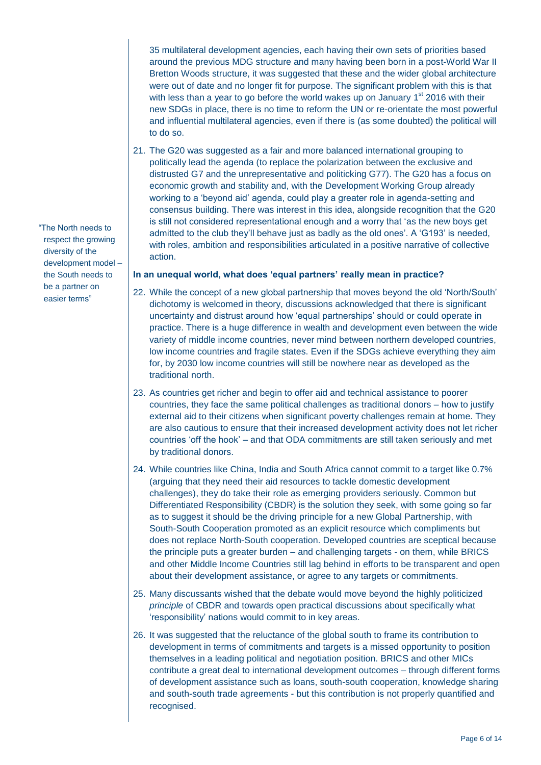35 multilateral development agencies, each having their own sets of priorities based around the previous MDG structure and many having been born in a post-World War II Bretton Woods structure, it was suggested that these and the wider global architecture were out of date and no longer fit for purpose. The significant problem with this is that with less than a year to go before the world wakes up on January  $1<sup>st</sup>$  2016 with their new SDGs in place, there is no time to reform the UN or re-orientate the most powerful and influential multilateral agencies, even if there is (as some doubted) the political will to do so.

21. The G20 was suggested as a fair and more balanced international grouping to politically lead the agenda (to replace the polarization between the exclusive and distrusted G7 and the unrepresentative and politicking G77). The G20 has a focus on economic growth and stability and, with the Development Working Group already working to a 'beyond aid' agenda, could play a greater role in agenda-setting and consensus building. There was interest in this idea, alongside recognition that the G20 is still not considered representational enough and a worry that 'as the new boys get admitted to the club they'll behave just as badly as the old ones'. A 'G193' is needed, with roles, ambition and responsibilities articulated in a positive narrative of collective action.

#### **In an unequal world, what does 'equal partners' really mean in practice?**

- 22. While the concept of a new global partnership that moves beyond the old 'North/South' dichotomy is welcomed in theory, discussions acknowledged that there is significant uncertainty and distrust around how 'equal partnerships' should or could operate in practice. There is a huge difference in wealth and development even between the wide variety of middle income countries, never mind between northern developed countries, low income countries and fragile states. Even if the SDGs achieve everything they aim for, by 2030 low income countries will still be nowhere near as developed as the traditional north.
- 23. As countries get richer and begin to offer aid and technical assistance to poorer countries, they face the same political challenges as traditional donors – how to justify external aid to their citizens when significant poverty challenges remain at home. They are also cautious to ensure that their increased development activity does not let richer countries 'off the hook' – and that ODA commitments are still taken seriously and met by traditional donors.
- 24. While countries like China, India and South Africa cannot commit to a target like 0.7% (arguing that they need their aid resources to tackle domestic development challenges), they do take their role as emerging providers seriously. Common but Differentiated Responsibility (CBDR) is the solution they seek, with some going so far as to suggest it should be the driving principle for a new Global Partnership, with South-South Cooperation promoted as an explicit resource which compliments but does not replace North-South cooperation. Developed countries are sceptical because the principle puts a greater burden – and challenging targets - on them, while BRICS and other Middle Income Countries still lag behind in efforts to be transparent and open about their development assistance, or agree to any targets or commitments.
- 25. Many discussants wished that the debate would move beyond the highly politicized *principle* of CBDR and towards open practical discussions about specifically what 'responsibility' nations would commit to in key areas.
- 26. It was suggested that the reluctance of the global south to frame its contribution to development in terms of commitments and targets is a missed opportunity to position themselves in a leading political and negotiation position. BRICS and other MICs contribute a great deal to international development outcomes – through different forms of development assistance such as loans, south-south cooperation, knowledge sharing and south-south trade agreements - but this contribution is not properly quantified and recognised.

"The North needs to respect the growing diversity of the development model – the South needs to be a partner on easier terms"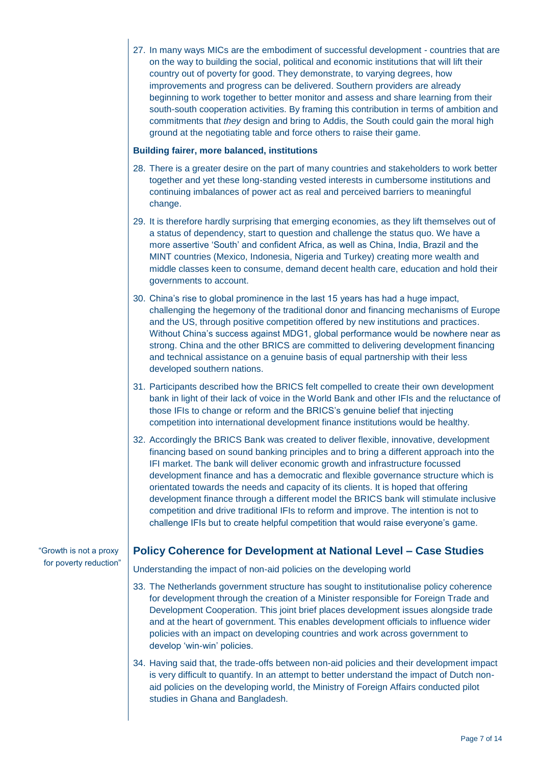|                                                 | 27. In many ways MICs are the embodiment of successful development - countries that are<br>on the way to building the social, political and economic institutions that will lift their<br>country out of poverty for good. They demonstrate, to varying degrees, how<br>improvements and progress can be delivered. Southern providers are already<br>beginning to work together to better monitor and assess and share learning from their<br>south-south cooperation activities. By framing this contribution in terms of ambition and<br>commitments that they design and bring to Addis, the South could gain the moral high<br>ground at the negotiating table and force others to raise their game.                |
|-------------------------------------------------|--------------------------------------------------------------------------------------------------------------------------------------------------------------------------------------------------------------------------------------------------------------------------------------------------------------------------------------------------------------------------------------------------------------------------------------------------------------------------------------------------------------------------------------------------------------------------------------------------------------------------------------------------------------------------------------------------------------------------|
|                                                 | <b>Building fairer, more balanced, institutions</b>                                                                                                                                                                                                                                                                                                                                                                                                                                                                                                                                                                                                                                                                      |
|                                                 | 28. There is a greater desire on the part of many countries and stakeholders to work better<br>together and yet these long-standing vested interests in cumbersome institutions and<br>continuing imbalances of power act as real and perceived barriers to meaningful<br>change.                                                                                                                                                                                                                                                                                                                                                                                                                                        |
|                                                 | 29. It is therefore hardly surprising that emerging economies, as they lift themselves out of<br>a status of dependency, start to question and challenge the status quo. We have a<br>more assertive 'South' and confident Africa, as well as China, India, Brazil and the<br>MINT countries (Mexico, Indonesia, Nigeria and Turkey) creating more wealth and<br>middle classes keen to consume, demand decent health care, education and hold their<br>governments to account.                                                                                                                                                                                                                                          |
|                                                 | 30. China's rise to global prominence in the last 15 years has had a huge impact,<br>challenging the hegemony of the traditional donor and financing mechanisms of Europe<br>and the US, through positive competition offered by new institutions and practices.<br>Without China's success against MDG1, global performance would be nowhere near as<br>strong. China and the other BRICS are committed to delivering development financing<br>and technical assistance on a genuine basis of equal partnership with their less<br>developed southern nations.                                                                                                                                                          |
|                                                 | 31. Participants described how the BRICS felt compelled to create their own development<br>bank in light of their lack of voice in the World Bank and other IFIs and the reluctance of<br>those IFIs to change or reform and the BRICS's genuine belief that injecting<br>competition into international development finance institutions would be healthy.                                                                                                                                                                                                                                                                                                                                                              |
|                                                 | 32. Accordingly the BRICS Bank was created to deliver flexible, innovative, development<br>financing based on sound banking principles and to bring a different approach into the<br>IFI market. The bank will deliver economic growth and infrastructure focussed<br>development finance and has a democratic and flexible governance structure which is<br>orientated towards the needs and capacity of its clients. It is hoped that offering<br>development finance through a different model the BRICS bank will stimulate inclusive<br>competition and drive traditional IFIs to reform and improve. The intention is not to<br>challenge IFIs but to create helpful competition that would raise everyone's game. |
| Growth is not a proxy<br>for poverty reduction" | <b>Policy Coherence for Development at National Level - Case Studies</b>                                                                                                                                                                                                                                                                                                                                                                                                                                                                                                                                                                                                                                                 |
|                                                 | Understanding the impact of non-aid policies on the developing world                                                                                                                                                                                                                                                                                                                                                                                                                                                                                                                                                                                                                                                     |
|                                                 | 33. The Netherlands government structure has sought to institutionalise policy coherence<br>for development through the creation of a Minister responsible for Foreign Trade and<br>Development Cooperation. This joint brief places development issues alongside trade<br>and at the heart of government. This enables development officials to influence wider<br>policies with an impact on developing countries and work across government to<br>develop 'win-win' policies.                                                                                                                                                                                                                                         |
|                                                 | 34. Having said that, the trade-offs between non-aid policies and their development impact<br>is very difficult to quantify. In an attempt to better understand the impact of Dutch non-<br>aid policies on the developing world, the Ministry of Foreign Affairs conducted pilot<br>studies in Ghana and Bangladesh.                                                                                                                                                                                                                                                                                                                                                                                                    |

"Growth is not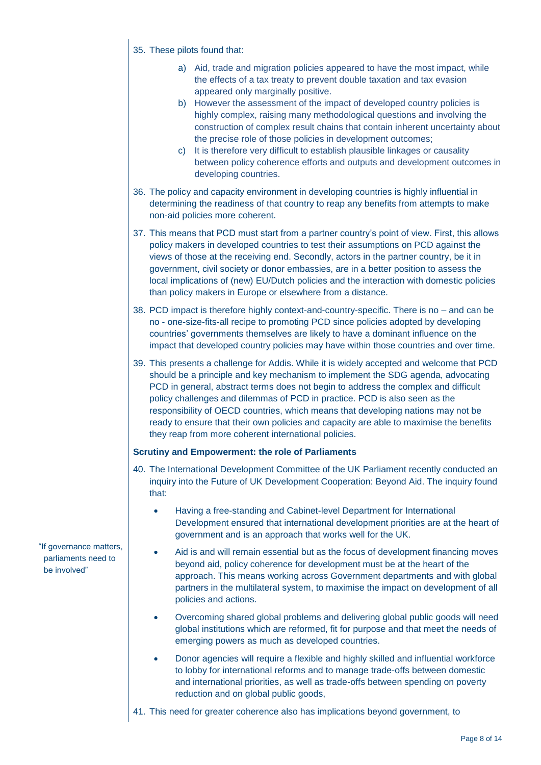#### 35. These pilots found that:

- a) Aid, trade and migration policies appeared to have the most impact, while the effects of a tax treaty to prevent double taxation and tax evasion appeared only marginally positive.
- b) However the assessment of the impact of developed country policies is highly complex, raising many methodological questions and involving the construction of complex result chains that contain inherent uncertainty about the precise role of those policies in development outcomes;
- c) It is therefore very difficult to establish plausible linkages or causality between policy coherence efforts and outputs and development outcomes in developing countries.
- 36. The policy and capacity environment in developing countries is highly influential in determining the readiness of that country to reap any benefits from attempts to make non-aid policies more coherent.
- 37. This means that PCD must start from a partner country's point of view. First, this allows policy makers in developed countries to test their assumptions on PCD against the views of those at the receiving end. Secondly, actors in the partner country, be it in government, civil society or donor embassies, are in a better position to assess the local implications of (new) EU/Dutch policies and the interaction with domestic policies than policy makers in Europe or elsewhere from a distance.
- 38. PCD impact is therefore highly context-and-country-specific. There is no and can be no - one-size-fits-all recipe to promoting PCD since policies adopted by developing countries' governments themselves are likely to have a dominant influence on the impact that developed country policies may have within those countries and over time.
- 39. This presents a challenge for Addis. While it is widely accepted and welcome that PCD should be a principle and key mechanism to implement the SDG agenda, advocating PCD in general, abstract terms does not begin to address the complex and difficult policy challenges and dilemmas of PCD in practice. PCD is also seen as the responsibility of OECD countries, which means that developing nations may not be ready to ensure that their own policies and capacity are able to maximise the benefits they reap from more coherent international policies.

#### **Scrutiny and Empowerment: the role of Parliaments**

- 40. The International Development Committee of the UK Parliament recently conducted an inquiry into the Future of UK Development Cooperation: Beyond Aid. The inquiry found that:
	- Having a free-standing and Cabinet-level Department for International Development ensured that international development priorities are at the heart of government and is an approach that works well for the UK.
	- Aid is and will remain essential but as the focus of development financing moves beyond aid, policy coherence for development must be at the heart of the approach. This means working across Government departments and with global partners in the multilateral system, to maximise the impact on development of all policies and actions.
	- Overcoming shared global problems and delivering global public goods will need global institutions which are reformed, fit for purpose and that meet the needs of emerging powers as much as developed countries.
	- Donor agencies will require a flexible and highly skilled and influential workforce to lobby for international reforms and to manage trade-offs between domestic and international priorities, as well as trade-offs between spending on poverty reduction and on global public goods.
- 41. This need for greater coherence also has implications beyond government, to

"If governance matters, parliaments need to be involved"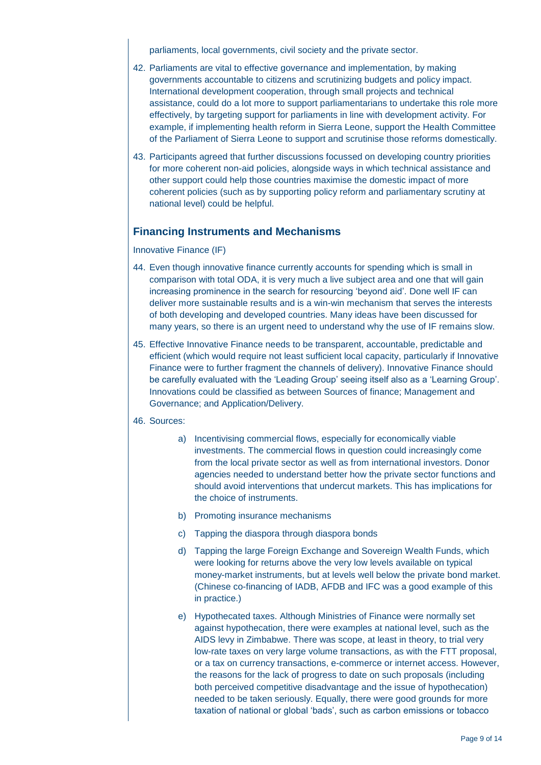parliaments, local governments, civil society and the private sector.

- 42. Parliaments are vital to effective governance and implementation, by making governments accountable to citizens and scrutinizing budgets and policy impact. International development cooperation, through small projects and technical assistance, could do a lot more to support parliamentarians to undertake this role more effectively, by targeting support for parliaments in line with development activity. For example, if implementing health reform in Sierra Leone, support the Health Committee of the Parliament of Sierra Leone to support and scrutinise those reforms domestically.
- 43. Participants agreed that further discussions focussed on developing country priorities for more coherent non-aid policies, alongside ways in which technical assistance and other support could help those countries maximise the domestic impact of more coherent policies (such as by supporting policy reform and parliamentary scrutiny at national level) could be helpful.

### **Financing Instruments and Mechanisms**

#### Innovative Finance (IF)

- 44. Even though innovative finance currently accounts for spending which is small in comparison with total ODA, it is very much a live subject area and one that will gain increasing prominence in the search for resourcing 'beyond aid'. Done well IF can deliver more sustainable results and is a win-win mechanism that serves the interests of both developing and developed countries. Many ideas have been discussed for many years, so there is an urgent need to understand why the use of IF remains slow.
- 45. Effective Innovative Finance needs to be transparent, accountable, predictable and efficient (which would require not least sufficient local capacity, particularly if Innovative Finance were to further fragment the channels of delivery). Innovative Finance should be carefully evaluated with the 'Leading Group' seeing itself also as a 'Learning Group'. Innovations could be classified as between Sources of finance; Management and Governance; and Application/Delivery.

#### 46. Sources:

- a) Incentivising commercial flows, especially for economically viable investments. The commercial flows in question could increasingly come from the local private sector as well as from international investors. Donor agencies needed to understand better how the private sector functions and should avoid interventions that undercut markets. This has implications for the choice of instruments.
- b) Promoting insurance mechanisms
- c) Tapping the diaspora through diaspora bonds
- d) Tapping the large Foreign Exchange and Sovereign Wealth Funds, which were looking for returns above the very low levels available on typical money-market instruments, but at levels well below the private bond market. (Chinese co-financing of IADB, AFDB and IFC was a good example of this in practice.)
- e) Hypothecated taxes. Although Ministries of Finance were normally set against hypothecation, there were examples at national level, such as the AIDS levy in Zimbabwe. There was scope, at least in theory, to trial very low-rate taxes on very large volume transactions, as with the FTT proposal, or a tax on currency transactions, e-commerce or internet access. However, the reasons for the lack of progress to date on such proposals (including both perceived competitive disadvantage and the issue of hypothecation) needed to be taken seriously. Equally, there were good grounds for more taxation of national or global 'bads', such as carbon emissions or tobacco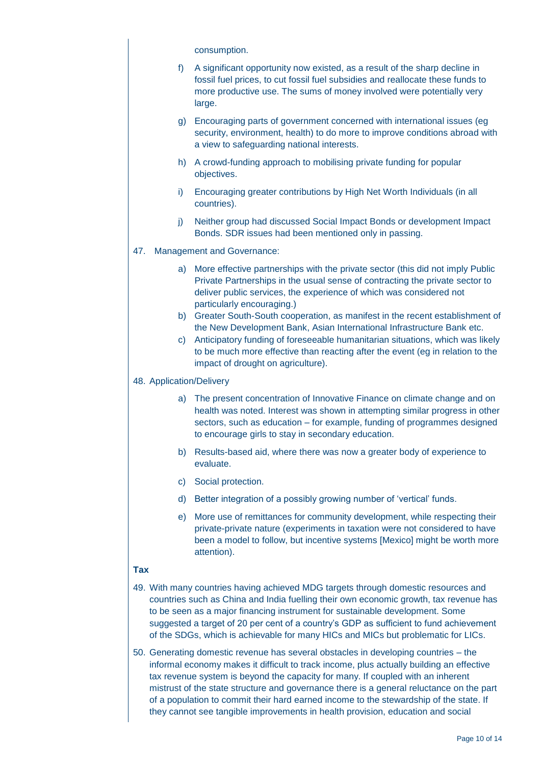consumption.

- f) A significant opportunity now existed, as a result of the sharp decline in fossil fuel prices, to cut fossil fuel subsidies and reallocate these funds to more productive use. The sums of money involved were potentially very large.
- g) Encouraging parts of government concerned with international issues (eg security, environment, health) to do more to improve conditions abroad with a view to safeguarding national interests.
- h) A crowd-funding approach to mobilising private funding for popular objectives.
- i) Encouraging greater contributions by High Net Worth Individuals (in all countries).
- j) Neither group had discussed Social Impact Bonds or development Impact Bonds. SDR issues had been mentioned only in passing.
- 47. Management and Governance:
	- a) More effective partnerships with the private sector (this did not imply Public Private Partnerships in the usual sense of contracting the private sector to deliver public services, the experience of which was considered not particularly encouraging.)
	- b) Greater South-South cooperation, as manifest in the recent establishment of the New Development Bank, Asian International Infrastructure Bank etc.
	- c) Anticipatory funding of foreseeable humanitarian situations, which was likely to be much more effective than reacting after the event (eg in relation to the impact of drought on agriculture).

#### 48. Application/Delivery

- a) The present concentration of Innovative Finance on climate change and on health was noted. Interest was shown in attempting similar progress in other sectors, such as education – for example, funding of programmes designed to encourage girls to stay in secondary education.
- b) Results-based aid, where there was now a greater body of experience to evaluate.
- c) Social protection.
- d) Better integration of a possibly growing number of 'vertical' funds.
- e) More use of remittances for community development, while respecting their private-private nature (experiments in taxation were not considered to have been a model to follow, but incentive systems [Mexico] might be worth more attention).

#### **Tax**

- 49. With many countries having achieved MDG targets through domestic resources and countries such as China and India fuelling their own economic growth, tax revenue has to be seen as a major financing instrument for sustainable development. Some suggested a target of 20 per cent of a country's GDP as sufficient to fund achievement of the SDGs, which is achievable for many HICs and MICs but problematic for LICs.
- 50. Generating domestic revenue has several obstacles in developing countries the informal economy makes it difficult to track income, plus actually building an effective tax revenue system is beyond the capacity for many. If coupled with an inherent mistrust of the state structure and governance there is a general reluctance on the part of a population to commit their hard earned income to the stewardship of the state. If they cannot see tangible improvements in health provision, education and social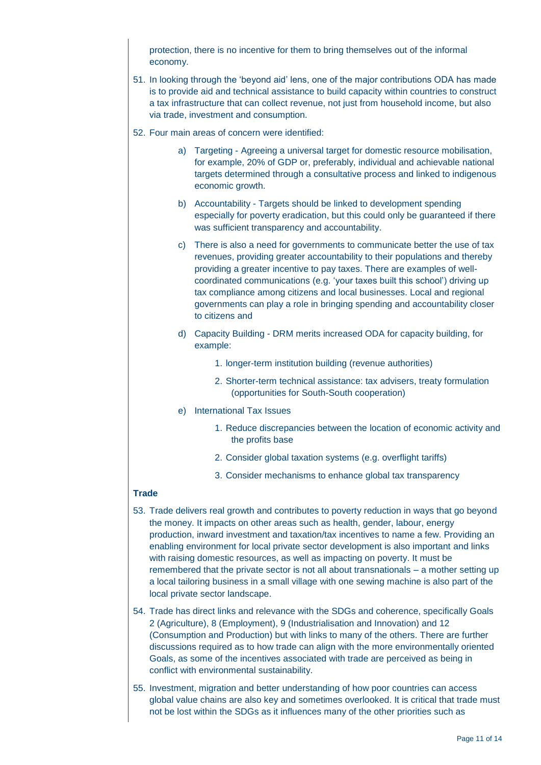protection, there is no incentive for them to bring themselves out of the informal economy.

- 51. In looking through the 'beyond aid' lens, one of the major contributions ODA has made is to provide aid and technical assistance to build capacity within countries to construct a tax infrastructure that can collect revenue, not just from household income, but also via trade, investment and consumption.
- 52. Four main areas of concern were identified:
	- a) Targeting Agreeing a universal target for domestic resource mobilisation, for example, 20% of GDP or, preferably, individual and achievable national targets determined through a consultative process and linked to indigenous economic growth.
	- b) Accountability Targets should be linked to development spending especially for poverty eradication, but this could only be guaranteed if there was sufficient transparency and accountability.
	- c) There is also a need for governments to communicate better the use of tax revenues, providing greater accountability to their populations and thereby providing a greater incentive to pay taxes. There are examples of wellcoordinated communications (e.g. 'your taxes built this school') driving up tax compliance among citizens and local businesses. Local and regional governments can play a role in bringing spending and accountability closer to citizens and
	- d) Capacity Building DRM merits increased ODA for capacity building, for example:
		- 1. longer-term institution building (revenue authorities)
		- 2. Shorter-term technical assistance: tax advisers, treaty formulation (opportunities for South-South cooperation)
	- e) International Tax Issues
		- 1. Reduce discrepancies between the location of economic activity and the profits base
		- 2. Consider global taxation systems (e.g. overflight tariffs)
		- 3. Consider mechanisms to enhance global tax transparency

### **Trade**

- 53. Trade delivers real growth and contributes to poverty reduction in ways that go beyond the money. It impacts on other areas such as health, gender, labour, energy production, inward investment and taxation/tax incentives to name a few. Providing an enabling environment for local private sector development is also important and links with raising domestic resources, as well as impacting on poverty. It must be remembered that the private sector is not all about transnationals – a mother setting up a local tailoring business in a small village with one sewing machine is also part of the local private sector landscape.
- 54. Trade has direct links and relevance with the SDGs and coherence, specifically Goals 2 (Agriculture), 8 (Employment), 9 (Industrialisation and Innovation) and 12 (Consumption and Production) but with links to many of the others. There are further discussions required as to how trade can align with the more environmentally oriented Goals, as some of the incentives associated with trade are perceived as being in conflict with environmental sustainability.
- 55. Investment, migration and better understanding of how poor countries can access global value chains are also key and sometimes overlooked. It is critical that trade must not be lost within the SDGs as it influences many of the other priorities such as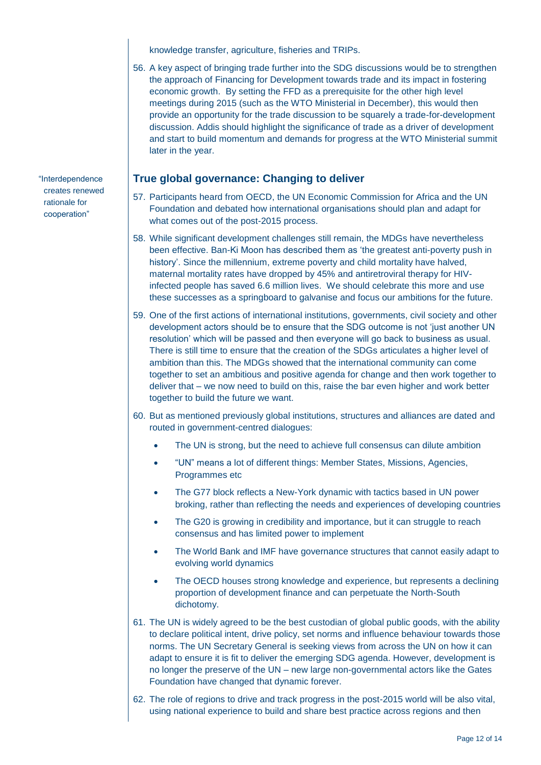knowledge transfer, agriculture, fisheries and TRIPs.

56. A key aspect of bringing trade further into the SDG discussions would be to strengthen the approach of Financing for Development towards trade and its impact in fostering economic growth. By setting the FFD as a prerequisite for the other high level meetings during 2015 (such as the WTO Ministerial in December), this would then provide an opportunity for the trade discussion to be squarely a trade-for-development discussion. Addis should highlight the significance of trade as a driver of development and start to build momentum and demands for progress at the WTO Ministerial summit later in the year.

### **True global governance: Changing to deliver**

- 57. Participants heard from OECD, the UN Economic Commission for Africa and the UN Foundation and debated how international organisations should plan and adapt for what comes out of the post-2015 process.
- 58. While significant development challenges still remain, the MDGs have nevertheless been effective. Ban-Ki Moon has described them as 'the greatest anti-poverty push in history'. Since the millennium, extreme poverty and child mortality have halved, maternal mortality rates have dropped by 45% and antiretroviral therapy for HIVinfected people has saved 6.6 million lives. We should celebrate this more and use these successes as a springboard to galvanise and focus our ambitions for the future.
- 59. One of the first actions of international institutions, governments, civil society and other development actors should be to ensure that the SDG outcome is not 'just another UN resolution' which will be passed and then everyone will go back to business as usual. There is still time to ensure that the creation of the SDGs articulates a higher level of ambition than this. The MDGs showed that the international community can come together to set an ambitious and positive agenda for change and then work together to deliver that – we now need to build on this, raise the bar even higher and work better together to build the future we want.
- 60. But as mentioned previously global institutions, structures and alliances are dated and routed in government-centred dialogues:
	- The UN is strong, but the need to achieve full consensus can dilute ambition
	- "UN" means a lot of different things: Member States, Missions, Agencies, Programmes etc
	- The G77 block reflects a New-York dynamic with tactics based in UN power broking, rather than reflecting the needs and experiences of developing countries
	- The G20 is growing in credibility and importance, but it can struggle to reach consensus and has limited power to implement
	- The World Bank and IMF have governance structures that cannot easily adapt to evolving world dynamics
	- The OECD houses strong knowledge and experience, but represents a declining proportion of development finance and can perpetuate the North-South dichotomy.
- 61. The UN is widely agreed to be the best custodian of global public goods, with the ability to declare political intent, drive policy, set norms and influence behaviour towards those norms. The UN Secretary General is seeking views from across the UN on how it can adapt to ensure it is fit to deliver the emerging SDG agenda. However, development is no longer the preserve of the UN – new large non-governmental actors like the Gates Foundation have changed that dynamic forever.
- 62. The role of regions to drive and track progress in the post-2015 world will be also vital, using national experience to build and share best practice across regions and then

"Interdependence creates renewed rationale for cooperation"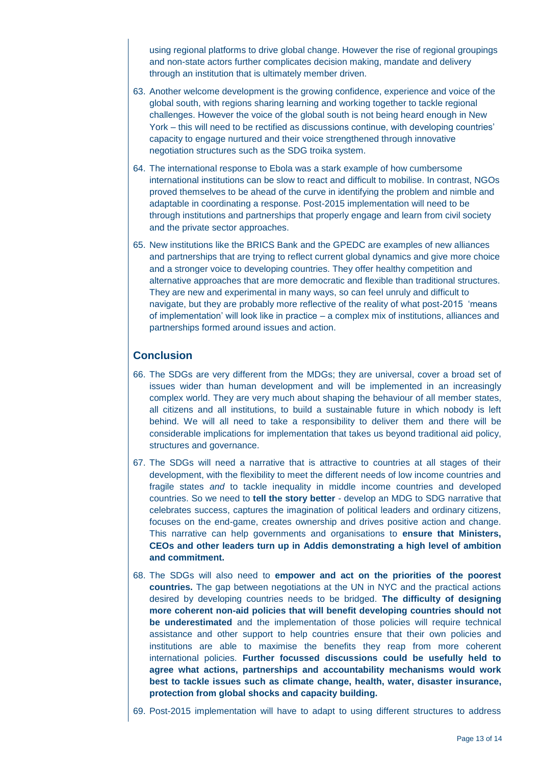using regional platforms to drive global change. However the rise of regional groupings and non-state actors further complicates decision making, mandate and delivery through an institution that is ultimately member driven.

- 63. Another welcome development is the growing confidence, experience and voice of the global south, with regions sharing learning and working together to tackle regional challenges. However the voice of the global south is not being heard enough in New York – this will need to be rectified as discussions continue, with developing countries' capacity to engage nurtured and their voice strengthened through innovative negotiation structures such as the SDG troika system.
- 64. The international response to Ebola was a stark example of how cumbersome international institutions can be slow to react and difficult to mobilise. In contrast, NGOs proved themselves to be ahead of the curve in identifying the problem and nimble and adaptable in coordinating a response. Post-2015 implementation will need to be through institutions and partnerships that properly engage and learn from civil society and the private sector approaches.
- 65. New institutions like the BRICS Bank and the GPEDC are examples of new alliances and partnerships that are trying to reflect current global dynamics and give more choice and a stronger voice to developing countries. They offer healthy competition and alternative approaches that are more democratic and flexible than traditional structures. They are new and experimental in many ways, so can feel unruly and difficult to navigate, but they are probably more reflective of the reality of what post-2015 'means of implementation' will look like in practice – a complex mix of institutions, alliances and partnerships formed around issues and action.

### **Conclusion**

- 66. The SDGs are very different from the MDGs; they are universal, cover a broad set of issues wider than human development and will be implemented in an increasingly complex world. They are very much about shaping the behaviour of all member states, all citizens and all institutions, to build a sustainable future in which nobody is left behind. We will all need to take a responsibility to deliver them and there will be considerable implications for implementation that takes us beyond traditional aid policy, structures and governance.
- 67. The SDGs will need a narrative that is attractive to countries at all stages of their development, with the flexibility to meet the different needs of low income countries and fragile states *and* to tackle inequality in middle income countries and developed countries. So we need to **tell the story better** - develop an MDG to SDG narrative that celebrates success, captures the imagination of political leaders and ordinary citizens, focuses on the end-game, creates ownership and drives positive action and change. This narrative can help governments and organisations to **ensure that Ministers, CEOs and other leaders turn up in Addis demonstrating a high level of ambition and commitment.**
- 68. The SDGs will also need to **empower and act on the priorities of the poorest countries.** The gap between negotiations at the UN in NYC and the practical actions desired by developing countries needs to be bridged. **The difficulty of designing more coherent non-aid policies that will benefit developing countries should not be underestimated** and the implementation of those policies will require technical assistance and other support to help countries ensure that their own policies and institutions are able to maximise the benefits they reap from more coherent international policies. **Further focussed discussions could be usefully held to agree what actions, partnerships and accountability mechanisms would work best to tackle issues such as climate change, health, water, disaster insurance, protection from global shocks and capacity building.**
- 69. Post-2015 implementation will have to adapt to using different structures to address